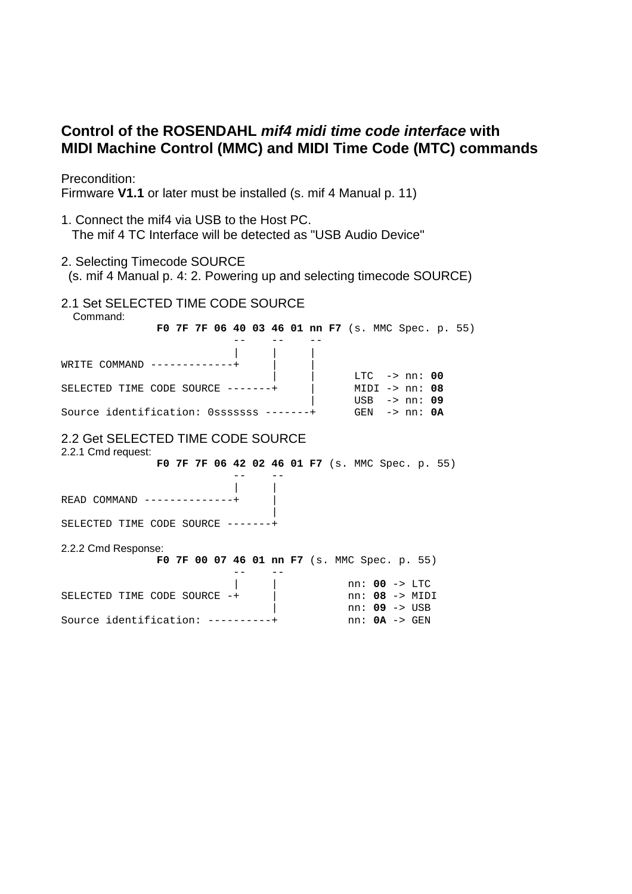# **Control of the ROSENDAHL mif4 midi time code interface with MIDI Machine Control (MMC) and MIDI Time Code (MTC) commands**

Precondition:

Firmware **V1.1** or later must be installed (s. mif 4 Manual p. 11)

- 1. Connect the mif4 via USB to the Host PC. The mif 4 TC Interface will be detected as "USB Audio Device"
- 2. Selecting Timecode SOURCE
- (s. mif 4 Manual p. 4: 2. Powering up and selecting timecode SOURCE)
- 2.1 Set SELECTED TIME CODE SOURCE

 Command:  **F0 7F 7F 06 40 03 46 01 nn F7** (s. MMC Spec. p. 55) -- -- -- | | |  $WRITE$  COMMAND  $---------++$  | | LTC -> nn: **00** SELECTED TIME CODE SOURCE -------+ | MIDI -> nn: **08** | USB -> nn: **09** Source identification: 0sssssss -------+ GEN -> nn: **0A** 2.2 Get SELECTED TIME CODE SOURCE 2.2.1 Cmd request: **F0 7F 7F 06 42 02 46 01 F7** (s. MMC Spec. p. 55) -- -- | |  $READ$  COMMAND  $---------++$  | SELECTED TIME CODE SOURCE -------+ 2.2.2 Cmd Response: **F0 7F 00 07 46 01 nn F7** (s. MMC Spec. p. 55) -- -- | | nn: **00** -> LTC SELECTED TIME CODE SOURCE -+ | nn: 08 -> MIDI | nn: **09** -> USB Source identification: ----------+ nn: **0A** -> GEN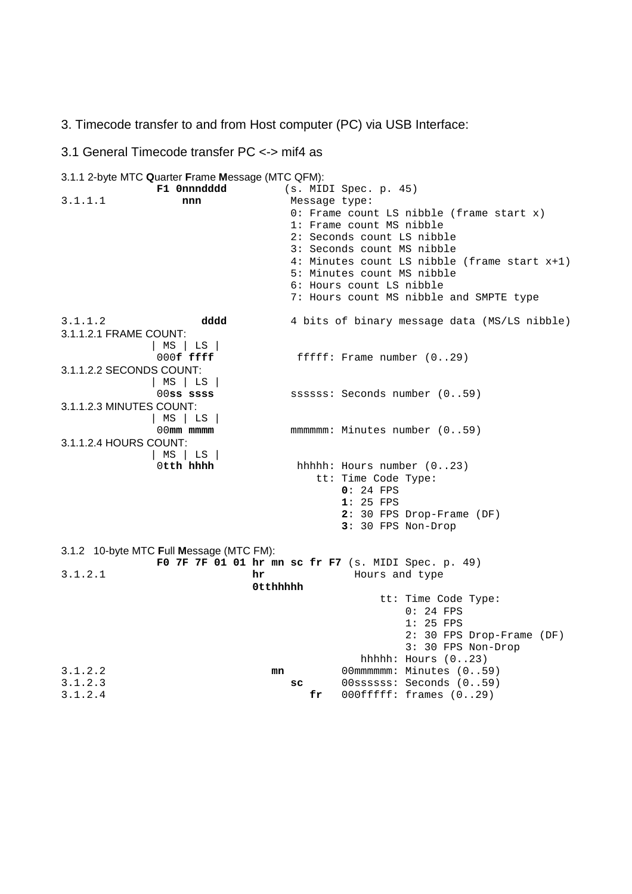3. Timecode transfer to and from Host computer (PC) via USB Interface:

# 3.1 General Timecode transfer PC <-> mif4 as

## 3.1.1 2-byte MTC **Q**uarter **F**rame **M**essage (MTC QFM):

| F1 0nnndddd                              | (s. MIDI Spec. p. 45)                               |
|------------------------------------------|-----------------------------------------------------|
| 3.1.1.1<br>nnn                           | Message type:                                       |
|                                          | 0: Frame count LS nibble (frame start $x$ )         |
|                                          | 1: Frame count MS nibble                            |
|                                          | 2: Seconds count LS nibble                          |
|                                          | 3: Seconds count MS nibble                          |
|                                          | 4: Minutes count LS nibble (frame start x+1)        |
|                                          | 5: Minutes count MS nibble                          |
|                                          | 6: Hours count LS nibble                            |
|                                          | 7: Hours count MS nibble and SMPTE type             |
| 3.1.1.2<br>dddd                          | 4 bits of binary message data (MS/LS nibble)        |
| 3.1.1.2.1 FRAME COUNT:                   |                                                     |
| MS   LS                                  |                                                     |
| $000$ <b>f</b> ffff                      | fffff: Frame number $(029)$                         |
| 3.1.1.2.2 SECONDS COUNT:                 |                                                     |
| MS   LS                                  |                                                     |
| $00$ ss ssss<br>3.1.1.2.3 MINUTES COUNT: | ssssss: Seconds number (059)                        |
| MS   LS                                  |                                                     |
| $00$ mm $mmm$                            | mmmmmm: Minutes number (059)                        |
| 3.1.1.2.4 HOURS COUNT:                   |                                                     |
| MS   LS                                  |                                                     |
| Otth hhhh                                | hhhhh: Hours number (023)                           |
|                                          | tt: Time Code Type:                                 |
|                                          | $0: 24$ FPS                                         |
|                                          | $1:25$ FPS                                          |
|                                          | 2: 30 FPS Drop-Frame (DF)                           |
|                                          | 3: 30 FPS Non-Drop                                  |
|                                          |                                                     |
| 3.1.2 10-byte MTC Full Message (MTC FM): |                                                     |
| 3.1.2.1<br>hr                            | FO 7F 7F 01 01 hr mn sc fr F7 (s. MIDI Spec. p. 49) |
|                                          | Hours and type<br>0tthhhhh                          |
|                                          | tt: Time Code Type:                                 |
|                                          | $0:24$ FPS                                          |
|                                          | $1:25$ FPS                                          |
|                                          | 2: 30 FPS Drop-Frame (DF)                           |
|                                          | 3: 30 FPS Non-Drop                                  |
|                                          | hhhh: Hours $(023)$                                 |
| 3.1.2.2                                  | 00mmmmmm: Minutes (059)<br>mn                       |
| 3.1.2.3                                  | 00ssssss: Seconds (059)<br>SC                       |
| 3.1.2.4                                  | 000fffff: frames (029)<br>fr.                       |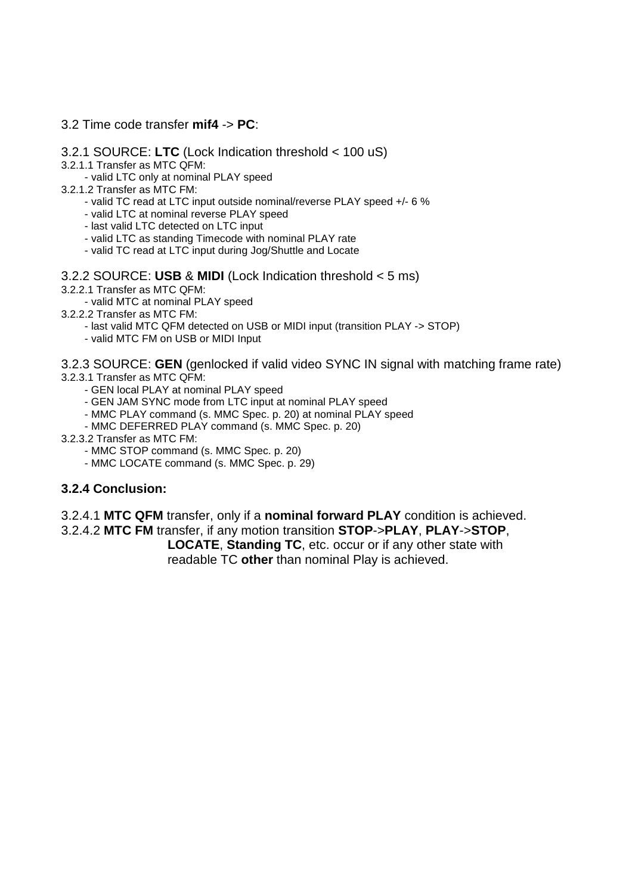## 3.2 Time code transfer **mif4** -> **PC**:

- 3.2.1 SOURCE: **LTC** (Lock Indication threshold < 100 uS)
- 3.2.1.1 Transfer as MTC QFM:
	- valid LTC only at nominal PLAY speed
- 3.2.1.2 Transfer as MTC FM:
	- valid TC read at LTC input outside nominal/reverse PLAY speed +/- 6 %
	- valid LTC at nominal reverse PLAY speed
	- last valid LTC detected on LTC input
	- valid LTC as standing Timecode with nominal PLAY rate
	- valid TC read at LTC input during Jog/Shuttle and Locate

### 3.2.2 SOURCE: **USB** & **MIDI** (Lock Indication threshold < 5 ms)

- 3.2.2.1 Transfer as MTC QFM:
	- valid MTC at nominal PLAY speed
- 3.2.2.2 Transfer as MTC FM:
	- last valid MTC QFM detected on USB or MIDI input (transition PLAY -> STOP)
	- valid MTC FM on USB or MIDI Input
- 3.2.3 SOURCE: **GEN** (genlocked if valid video SYNC IN signal with matching frame rate)
- 3.2.3.1 Transfer as MTC QFM:
	- GEN local PLAY at nominal PLAY speed
	- GEN JAM SYNC mode from LTC input at nominal PLAY speed
	- MMC PLAY command (s. MMC Spec. p. 20) at nominal PLAY speed
	- MMC DEFERRED PLAY command (s. MMC Spec. p. 20)
- 3.2.3.2 Transfer as MTC FM:
	- MMC STOP command (s. MMC Spec. p. 20)
	- MMC LOCATE command (s. MMC Spec. p. 29)

## **3.2.4 Conclusion:**

3.2.4.1 **MTC QFM** transfer, only if a **nominal forward PLAY** condition is achieved.

3.2.4.2 **MTC FM** transfer, if any motion transition **STOP**->**PLAY**, **PLAY**->**STOP**, **LOCATE**, **Standing TC**, etc. occur or if any other state with readable TC **other** than nominal Play is achieved.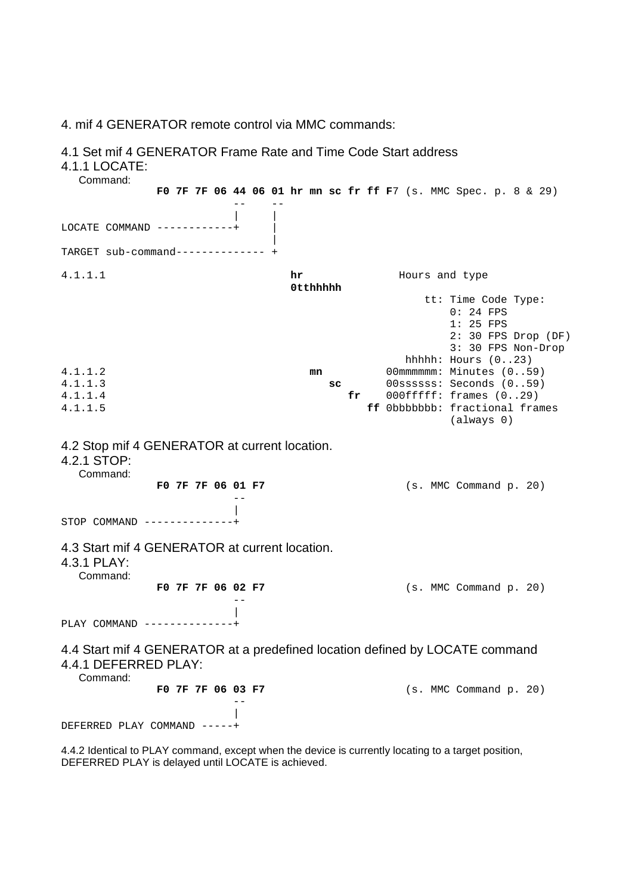4. mif 4 GENERATOR remote control via MMC commands:

#### 4.1 Set mif 4 GENERATOR Frame Rate and Time Code Start address

#### 4.1.1 LOCATE:

 Command: **F0 7F 7F 06 44 06 01 hr mn sc fr ff F**7 (s. MMC Spec. p. 8 & 29) -- -- | |  $LOGATE$  COMMAND  $------++$  | TARGET sub-command-------------- + 4.1.1.1 **hr** Hours and type **0tthhhhh**  tt: Time Code Type: 0: 24 FPS 1: 25 FPS 2: 30 FPS Drop (DF) 3: 30 FPS Non-Drop hhhhh: Hours (0..23) 4.1.1.2 **mn** 00mmmmmm: Minutes (0..59) 4.1.1.3 **sc** 00ssssss: Seconds (0..59) 4.1.1.4 **fr** 000fffff: frames (0..29) 4.1.1.5 **ff** 0bbbbbbb: fractional frames (always 0) 4.2 Stop mif 4 GENERATOR at current location. 4.2.1 STOP: Command: **F0 7F 7F 06 01 F7** (s. MMC Command p. 20) -- |  $STOP$   $COMMAND$   $---------$ 4.3 Start mif 4 GENERATOR at current location. 4.3.1 PLAY: Command: **F0 7F 7F 06 02 F7** (s. MMC Command p. 20) -- | PLAY COMMAND --------------+ 4.4 Start mif 4 GENERATOR at a predefined location defined by LOCATE command 4.4.1 DEFERRED PLAY: Command: **F0 7F 7F 06 03 F7** (s. MMC Command p. 20) -- | DEFERRED PLAY COMMAND -----+

4.4.2 Identical to PLAY command, except when the device is currently locating to a target position, DEFERRED PLAY is delayed until LOCATE is achieved.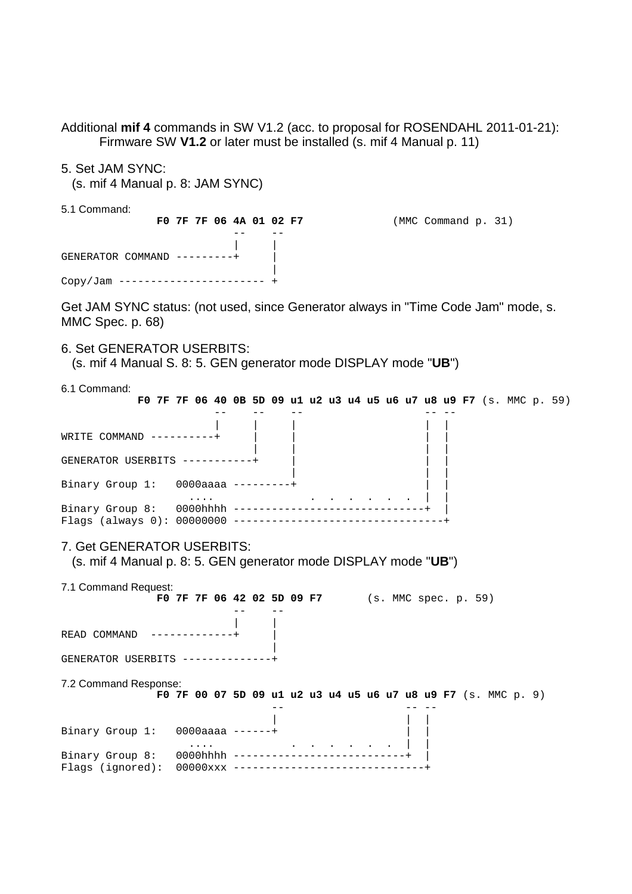Additional **mif 4** commands in SW V1.2 (acc. to proposal for ROSENDAHL 2011-01-21): Firmware SW **V1.2** or later must be installed (s. mif 4 Manual p. 11)

5. Set JAM SYNC:

(s. mif 4 Manual p. 8: JAM SYNC)

5.1 Command:

 **F0 7F 7F 06 4A 01 02 F7** (MMC Command p. 31) -- -- | | GENERATOR COMMAND ---------+ | | Copy/Jam ----------------------- +

Get JAM SYNC status: (not used, since Generator always in "Time Code Jam" mode, s. MMC Spec. p. 68)

### 6. Set GENERATOR USERBITS:

(s. mif 4 Manual S. 8: 5. GEN generator mode DISPLAY mode "**UB**")

6.1 Command:

| FO 7F 7F 06 40 0B 5D 09 u1 u2 u3 u4 u5 u6 u7 u8 u9 F7 (s. MMC p. 59)                          |  |                                                               |  |  |  |  |  |  |  |  |  |  |
|-----------------------------------------------------------------------------------------------|--|---------------------------------------------------------------|--|--|--|--|--|--|--|--|--|--|
| WRITE COMMAND $------$                                                                        |  |                                                               |  |  |  |  |  |  |  |  |  |  |
| GENERATOR USERBITS -----------+                                                               |  |                                                               |  |  |  |  |  |  |  |  |  |  |
| Binary Group 1: 0000aaaa ---------+                                                           |  |                                                               |  |  |  |  |  |  |  |  |  |  |
|                                                                                               |  |                                                               |  |  |  |  |  |  |  |  |  |  |
| 7. Get GENERATOR USERBITS:<br>(s. mif 4 Manual p. 8: 5. GEN generator mode DISPLAY mode "UB") |  |                                                               |  |  |  |  |  |  |  |  |  |  |
| 7.1 Command Request:                                                                          |  | FO 7F 7F 06 42 02 5D 09 F7 (s. MMC spec. p. 59)               |  |  |  |  |  |  |  |  |  |  |
| READ COMMAND                                                                                  |  |                                                               |  |  |  |  |  |  |  |  |  |  |
| GENERATOR USERBITS ------------                                                               |  |                                                               |  |  |  |  |  |  |  |  |  |  |
| 7.2 Command Response:                                                                         |  | FO 7F 00 07 5D 09 ul u2 u3 u4 u5 u6 u7 u8 u9 F7 (s. MMC p. 9) |  |  |  |  |  |  |  |  |  |  |
| Binary Group $1: 0000$ aaaa ------+                                                           |  |                                                               |  |  |  |  |  |  |  |  |  |  |
| Binary Group 8: 0000hhhh -----------------------<br>Flags (ignored):                          |  |                                                               |  |  |  |  |  |  |  |  |  |  |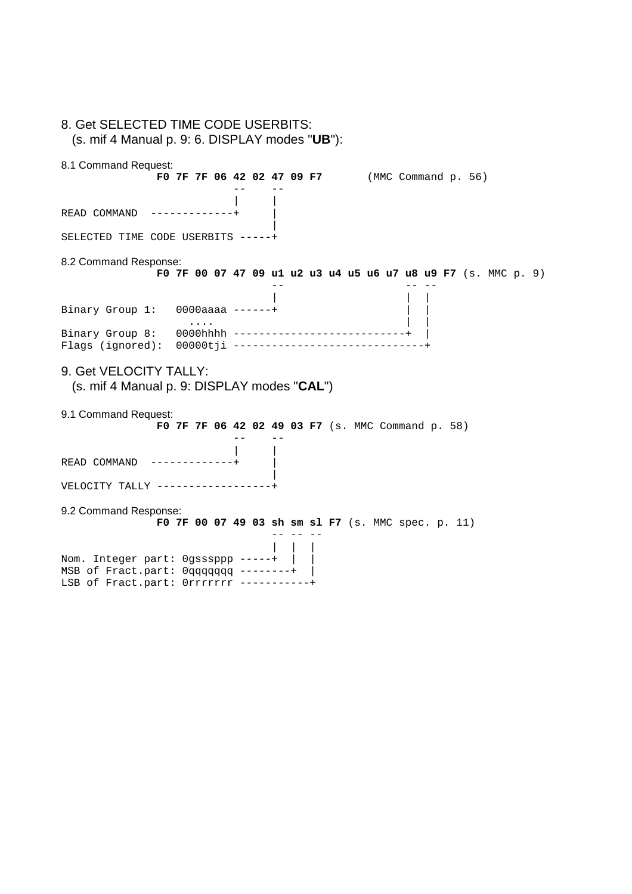| 8. Get SELECTED TIME CODE USERBITS:<br>$(s. \text{ mif } 4 \text{ Manual p. } 9: 6. \text{ DISPLAN modes "UB")}:$       |                                                    |  |                                                               |  |
|-------------------------------------------------------------------------------------------------------------------------|----------------------------------------------------|--|---------------------------------------------------------------|--|
| 8.1 Command Request:                                                                                                    | FO 7F 7F 06 42 02 47 09 F7 (MMC Command p. 56)     |  |                                                               |  |
| READ COMMAND ------------+                                                                                              |                                                    |  |                                                               |  |
| SELECTED TIME CODE USERBITS -----+                                                                                      |                                                    |  |                                                               |  |
| 8.2 Command Response:                                                                                                   |                                                    |  | F0 7F 00 07 47 09 u1 u2 u3 u4 u5 u6 u7 u8 u9 F7 (s. MMC p. 9) |  |
| Binary Group 1: 0000aaaa ------+                                                                                        |                                                    |  |                                                               |  |
| Flags (ignored): 00000tji -------------------------------                                                               | $\cdots$                                           |  |                                                               |  |
| 9. Get VELOCITY TALLY:<br>(s. mif 4 Manual p. 9: DISPLAY modes "CAL")                                                   |                                                    |  |                                                               |  |
| 9.1 Command Request:                                                                                                    | FO 7F 7F 06 42 02 49 03 F7 (s. MMC Command p. 58)  |  |                                                               |  |
| READ COMMAND -------------                                                                                              |                                                    |  |                                                               |  |
| VELOCITY TALLY -------------------                                                                                      |                                                    |  |                                                               |  |
| 9.2 Command Response:                                                                                                   | FO 7F 00 07 49 03 sh sm sl F7 (s. MMC spec. p. 11) |  |                                                               |  |
| Nom. Integer part: Ogsssppp -----+<br>MSB of Fract.part: 0qqqqqqq --------+<br>LSB of Fract.part: 0rrrrrrr -----------+ |                                                    |  |                                                               |  |